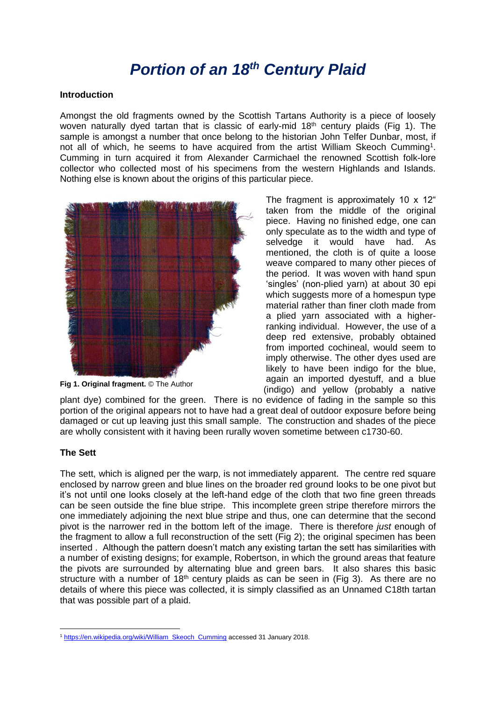# *Portion of an 18th Century Plaid*

#### **Introduction**

Amongst the old fragments owned by the Scottish Tartans Authority is a piece of loosely woven naturally dyed tartan that is classic of early-mid  $18<sup>th</sup>$  century plaids (Fig 1). The sample is amongst a number that once belong to the historian John Telfer Dunbar, most, if not all of which, he seems to have acquired from the artist William Skeoch Cumming<sup>1</sup>. Cumming in turn acquired it from Alexander Carmichael the renowned Scottish folk-lore collector who collected most of his specimens from the western Highlands and Islands. Nothing else is known about the origins of this particular piece.



**Fig 1. Original fragment.** © The Author

The fragment is approximately 10 x 12" taken from the middle of the original piece. Having no finished edge, one can only speculate as to the width and type of selvedge it would have had. As mentioned, the cloth is of quite a loose weave compared to many other pieces of the period. It was woven with hand spun 'singles' (non-plied yarn) at about 30 epi which suggests more of a homespun type material rather than finer cloth made from a plied yarn associated with a higherranking individual. However, the use of a deep red extensive, probably obtained from imported cochineal, would seem to imply otherwise. The other dyes used are likely to have been indigo for the blue, again an imported dyestuff, and a blue (indigo) and yellow (probably a native

plant dye) combined for the green. There is no evidence of fading in the sample so this portion of the original appears not to have had a great deal of outdoor exposure before being damaged or cut up leaving just this small sample. The construction and shades of the piece are wholly consistent with it having been rurally woven sometime between c1730-60.

#### **The Sett**

The sett, which is aligned per the warp, is not immediately apparent. The centre red square enclosed by narrow green and blue lines on the broader red ground looks to be one pivot but it's not until one looks closely at the left-hand edge of the cloth that two fine green threads can be seen outside the fine blue stripe. This incomplete green stripe therefore mirrors the one immediately adjoining the next blue stripe and thus, one can determine that the second pivot is the narrower red in the bottom left of the image. There is therefore *just* enough of the fragment to allow a full reconstruction of the sett (Fig 2); the original specimen has been inserted . Although the pattern doesn't match any existing tartan the sett has similarities with a number of existing designs; for example, Robertson, in which the ground areas that feature the pivots are surrounded by alternating blue and green bars. It also shares this basic structure with a number of  $18<sup>th</sup>$  century plaids as can be seen in (Fig 3). As there are no details of where this piece was collected, it is simply classified as an Unnamed C18th tartan that was possible part of a plaid.

**<sup>.</sup>** <sup>1</sup> [https://en.wikipedia.org/wiki/William\\_Skeoch\\_Cumming](https://en.wikipedia.org/wiki/William_Skeoch_Cumming) accessed 31 January 2018.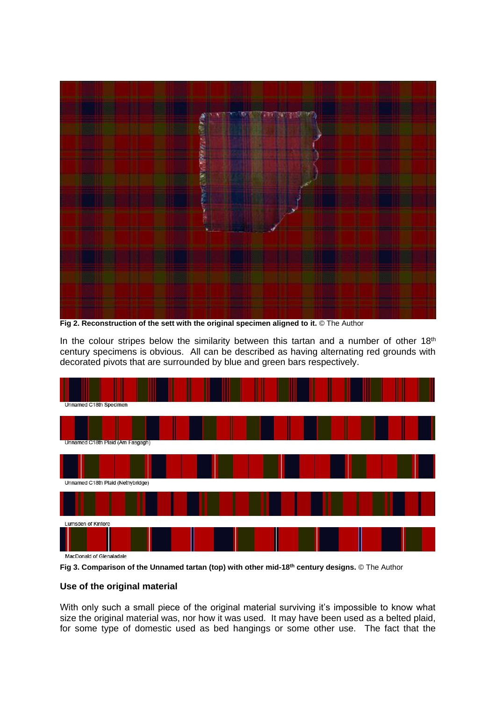

**Fig 2. Reconstruction of the sett with the original specimen aligned to it.** © The Author

In the colour stripes below the similarity between this tartan and a number of other  $18<sup>th</sup>$ century specimens is obvious. All can be described as having alternating red grounds with decorated pivots that are surrounded by blue and green bars respectively.





# **Use of the original material**

With only such a small piece of the original material surviving it's impossible to know what size the original material was, nor how it was used. It may have been used as a belted plaid, for some type of domestic used as bed hangings or some other use. The fact that the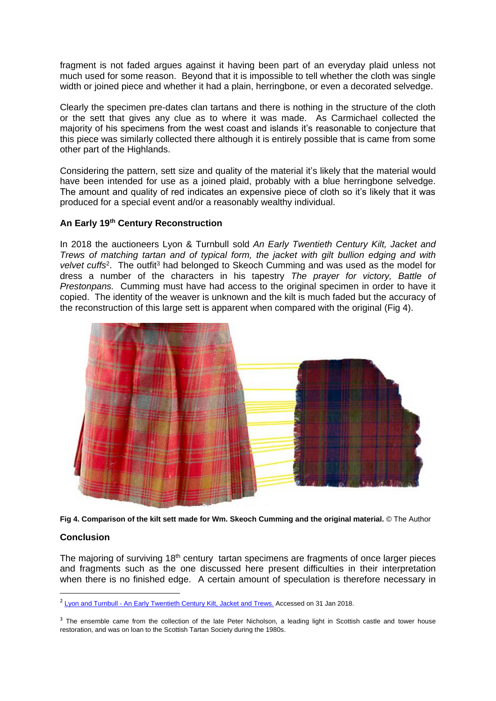fragment is not faded argues against it having been part of an everyday plaid unless not much used for some reason. Beyond that it is impossible to tell whether the cloth was single width or joined piece and whether it had a plain, herringbone, or even a decorated selvedge.

Clearly the specimen pre-dates clan tartans and there is nothing in the structure of the cloth or the sett that gives any clue as to where it was made. As Carmichael collected the majority of his specimens from the west coast and islands it's reasonable to conjecture that this piece was similarly collected there although it is entirely possible that is came from some other part of the Highlands.

Considering the pattern, sett size and quality of the material it's likely that the material would have been intended for use as a joined plaid, probably with a blue herringbone selvedge. The amount and quality of red indicates an expensive piece of cloth so it's likely that it was produced for a special event and/or a reasonably wealthy individual.

### **An Early 19th Century Reconstruction**

In 2018 the auctioneers Lyon & Turnbull sold *An Early Twentieth Century Kilt, Jacket and Trews of matching tartan and of typical form, the jacket with gilt bullion edging and with*  velvet cuffs<sup>2</sup>. The outfit<sup>3</sup> had belonged to Skeoch Cumming and was used as the model for dress a number of the characters in his tapestry *The prayer for victory, Battle of Prestonpans.* Cumming must have had access to the original specimen in order to have it copied. The identity of the weaver is unknown and the kilt is much faded but the accuracy of the reconstruction of this large sett is apparent when compared with the original (Fig 4).



**Fig 4. Comparison of the kilt sett made for Wm. Skeoch Cumming and the original material.** © The Author

# **Conclusion**

**.** 

The majoring of surviving  $18<sup>th</sup>$  century tartan specimens are fragments of once larger pieces and fragments such as the one discussed here present difficulties in their interpretation when there is no finished edge. A certain amount of speculation is therefore necessary in

<sup>&</sup>lt;sup>2</sup> Lyon and Turnbull - [An Early Twentieth Century Kilt, Jacket and Trews.](https://auctions.lyonandturnbull.com/auction-lotdetail/AN-EARLY-TWENTIETH-CENTURY-KILT%2C-JACKET-AND-TREWS/530++++++616+/++233791) Accessed on 31 Jan 2018.

 $3$  The ensemble came from the collection of the late Peter Nicholson, a leading light in Scottish castle and tower house restoration, and was on loan to the Scottish Tartan Society during the 1980s.